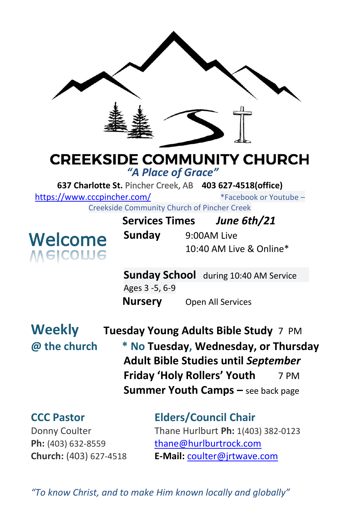

# **CREEKSIDE COMMUNITY CHURCH**

*"A Place of Grace"*

**637 Charlotte St.** Pincher Creek, AB **403 627-4518(office)** 

<https://www.cccpincher.com/>\*Facebook or Youtube –

Creekside Community Church of Pincher Creek



| COMMUNIST CHUICH OF FINCHCI CICCK |                         |             |
|-----------------------------------|-------------------------|-------------|
| <b>Services Times</b>             |                         | June 6th/21 |
| Sunday                            | 9:00AM Live             |             |
|                                   | 10:40 AM Live & Online* |             |

**Sunday School** during 10:40 AM Service Ages 3 -5, 6-9 **Nursery** Open All Services

**Weekly Tuesday Young Adults Bible Study** 7 PM **@ the church \* No Tuesday, Wednesday, or Thursday Adult Bible Studies until** *September* **Friday 'Holy Rollers' Youth** 7 PM **Summer Youth Camps –** see back page

**CCC Pastor Elders/Council Chair** Donny Coulter Thane Hurlburt **Ph:** 1(403) 382-0123 **Ph:** (403) 632-8559 [thane@hurlburtrock.com](mailto:thane@hurlburtrock.com) **Church:** (403) 627-4518 **E-Mail:** [coulter@jrtwave.com](mailto:coulter@jrtwave.com)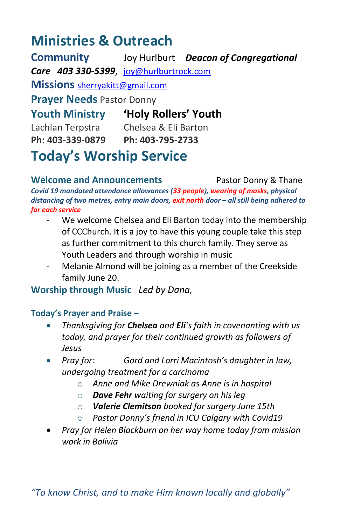## **Ministries & Outreach**

**Community** Joy Hurlburt *Deacon of Congregational Care 403 330-5399*, [joy@hurlburtrock.com](mailto:joy@hurlburtrock.com) **Missions** [sherryakitt@gmail.com](mailto:sherryakitt@gmail.com) **Prayer Needs** Pastor Donny **Youth Ministry 'Holy Rollers' Youth** Lachlan Terpstra Chelsea & Eli Barton **Ph: 403-339-0879 Ph: 403-795-2733 Today's Worship Service**

**Welcome and Announcements** Pastor Donny & Thane *Covid 19 mandated attendance allowances (33 people), wearing of masks, physical distancing of two metres, entry main doors, exit north door – all still being adhered to for each service*

- We welcome Chelsea and Eli Barton today into the membership of CCChurch. It is a joy to have this young couple take this step as further commitment to this church family. They serve as Youth Leaders and through worship in music
- Melanie Almond will be joining as a member of the Creekside family June 20.

**Worship through Music** *Led by Dana,* 

#### **Today's Prayer and Praise –**

- *Thanksgiving for Chelsea and Eli's faith in covenanting with us today, and prayer for their continued growth as followers of Jesus*
- *Pray for: Gord and Lorri Macintosh's daughter in law, undergoing treatment for a carcinoma*
	- o *Anne and Mike Drewniak as Anne is in hospital*
	- o *Dave Fehr waiting for surgery on his leg*
	- o *Valerie Clemitson booked for surgery June 15th*
	- o *Pastor Donny's friend in ICU Calgary with Covid19*
- *Pray for Helen Blackburn on her way home today from mission work in Bolivia*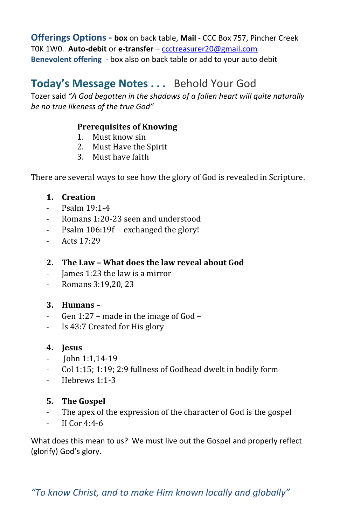**Offerings Options - box** on back table, **Mail** - CCC Box 757, Pincher Creek T0K 1W0. **Auto-debit** or **e-transfer** – [ccctreasurer20@gmail.com](mailto:ccctreasurer20@gmail.com) **Benevolent offering** - box also on back table or add to your auto debit

### **Today's Message Notes . . .** Behold Your God

Tozer said *"A God begotten in the shadows of a fallen heart will quite naturally be no true likeness of the true God"*

#### **Prerequisites of Knowing**

- 1. Must know sin
- 2. Must Have the Spirit
- 3. Must have faith

There are several ways to see how the glory of God is revealed in Scripture.

#### **1. Creation**

- Psalm 19:1-4
- Romans 1:20-23 seen and understood
- Psalm 106:19f exchanged the glory!
- Acts 17:29

#### **2. The Law – What does the law reveal about God**

- James 1:23 the law is a mirror
- Romans 3:19,20, 23

#### **3. Humans –**

- Gen 1:27 made in the image of God –
- Is 43:7 Created for His glory

#### **4. Jesus**

- John 1:1,14-19
- Col 1:15; 1:19; 2:9 fullness of Godhead dwelt in bodily form
- Hebrews 1:1-3

#### **5. The Gospel**

- The apex of the expression of the character of God is the gospel
- $-$  II Cor 4:4-6

What does this mean to us? We must live out the Gospel and properly reflect (glorify) God's glory.